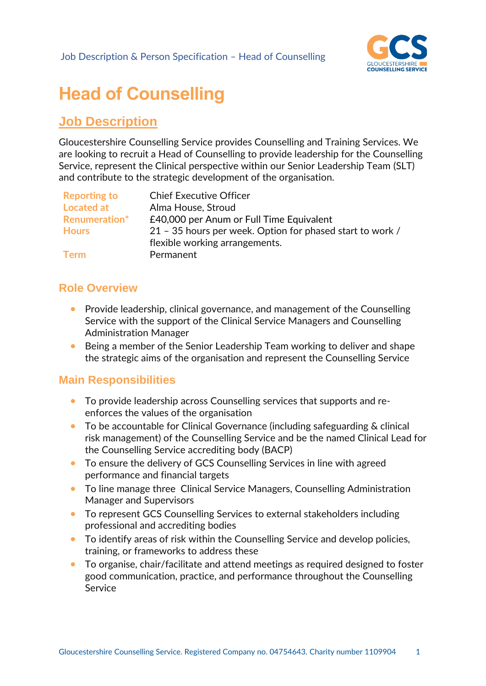

# **Head of Counselling**

## **Job Description**

Gloucestershire Counselling Service provides Counselling and Training Services. We are looking to recruit a Head of Counselling to provide leadership for the Counselling Service, represent the Clinical perspective within our Senior Leadership Team (SLT) and contribute to the strategic development of the organisation.

| <b>Reporting to</b>  | <b>Chief Executive Officer</b>                            |
|----------------------|-----------------------------------------------------------|
| <b>Located at</b>    | Alma House, Stroud                                        |
| <b>Renumeration*</b> | £40,000 per Anum or Full Time Equivalent                  |
| <b>Hours</b>         | 21 - 35 hours per week. Option for phased start to work / |
|                      | flexible working arrangements.                            |
| <b>Term</b>          | Permanent                                                 |
|                      |                                                           |

### **Role Overview**

- Provide leadership, clinical governance, and management of the Counselling Service with the support of the Clinical Service Managers and Counselling Administration Manager
- Being a member of the Senior Leadership Team working to deliver and shape the strategic aims of the organisation and represent the Counselling Service

### **Main Responsibilities**

- To provide leadership across Counselling services that supports and reenforces the values of the organisation
- To be accountable for Clinical Governance (including safeguarding & clinical risk management) of the Counselling Service and be the named Clinical Lead for the Counselling Service accrediting body (BACP)
- To ensure the delivery of GCS Counselling Services in line with agreed performance and financial targets
- To line manage three Clinical Service Managers, Counselling Administration Manager and Supervisors
- To represent GCS Counselling Services to external stakeholders including professional and accrediting bodies
- To identify areas of risk within the Counselling Service and develop policies, training, or frameworks to address these
- To organise, chair/facilitate and attend meetings as required designed to foster good communication, practice, and performance throughout the Counselling Service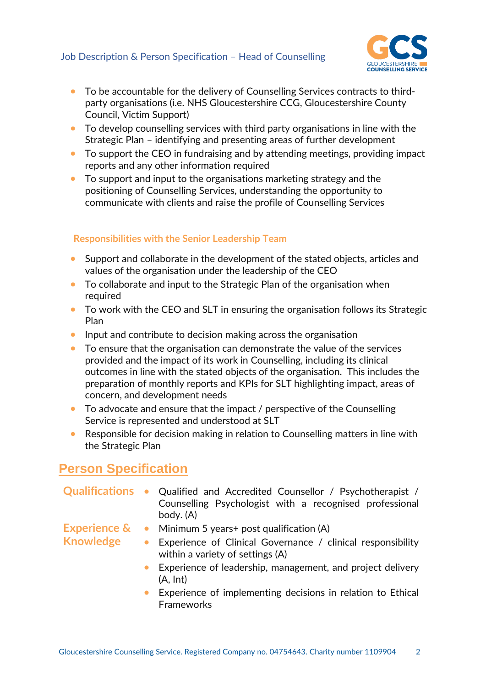

- To be accountable for the delivery of Counselling Services contracts to thirdparty organisations (i.e. NHS Gloucestershire CCG, Gloucestershire County Council, Victim Support)
- To develop counselling services with third party organisations in line with the Strategic Plan – identifying and presenting areas of further development
- To support the CEO in fundraising and by attending meetings, providing impact reports and any other information required
- To support and input to the organisations marketing strategy and the positioning of Counselling Services, understanding the opportunity to communicate with clients and raise the profile of Counselling Services

#### **Responsibilities with the Senior Leadership Team**

- Support and collaborate in the development of the stated objects, articles and values of the organisation under the leadership of the CEO
- To collaborate and input to the Strategic Plan of the organisation when required
- To work with the CEO and SLT in ensuring the organisation follows its Strategic Plan
- Input and contribute to decision making across the organisation
- To ensure that the organisation can demonstrate the value of the services provided and the impact of its work in Counselling, including its clinical outcomes in line with the stated objects of the organisation. This includes the preparation of monthly reports and KPIs for SLT highlighting impact, areas of concern, and development needs
- To advocate and ensure that the impact / perspective of the Counselling Service is represented and understood at SLT
- Responsible for decision making in relation to Counselling matters in line with the Strategic Plan

## **Person Specification**

|                  | Qualifications • Qualified and Accredited Counsellor / Psychotherapist /<br>Counselling Psychologist with a recognised professional<br>body. (A) |
|------------------|--------------------------------------------------------------------------------------------------------------------------------------------------|
|                  | <b>Experience &amp; •</b> Minimum 5 years+ post qualification (A)                                                                                |
| <b>Knowledge</b> | Experience of Clinical Governance / clinical responsibility<br>$\bullet$<br>within a variety of settings (A)                                     |
|                  | • Experience of leadership, management, and project delivery<br>(A, Int)                                                                         |
|                  | Experience of implementing decisions in relation to Ethical<br>$\bullet$<br><b>Frameworks</b>                                                    |